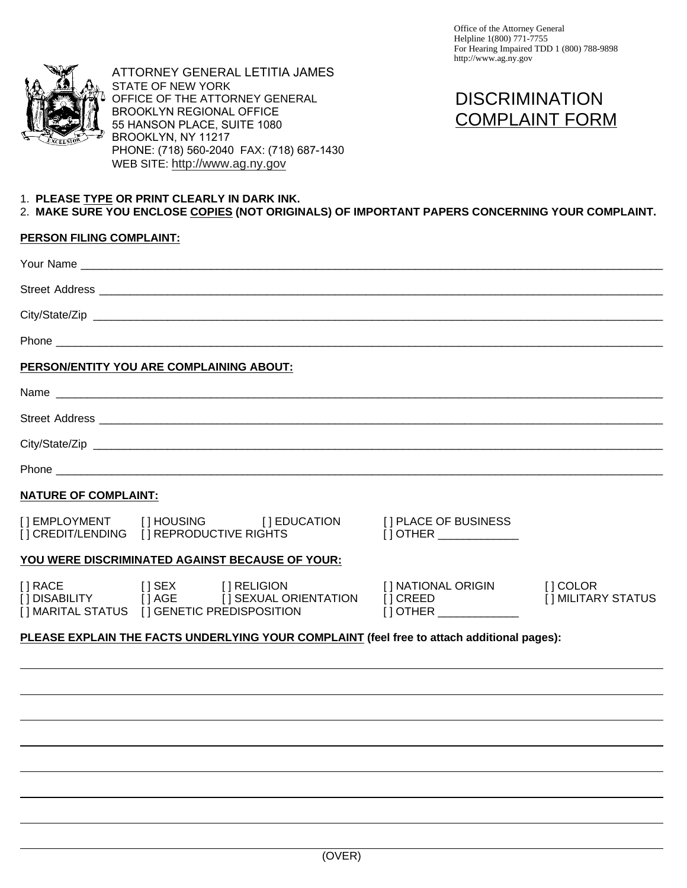



# 1. **PLEASE TYPE OR PRINT CLEARLY IN DARK INK.**

## **PERSON FILING COMPLAINT:**

|                                 | PLEASE EXPLAIN THE FACTS UNDERLYING YOUR COMPLAINT (feel free to attach additional pages):                                                                                                            |                                                                                    |                                                |
|---------------------------------|-------------------------------------------------------------------------------------------------------------------------------------------------------------------------------------------------------|------------------------------------------------------------------------------------|------------------------------------------------|
| [] RACE                         | [] SEX [] RELIGION<br>[] DISABILITY [] AGE [] SEXUAL ORIENTATION<br>[] MARITAL STATUS [] GENETIC PREDISPOSITION                                                                                       | [ ] NATIONAL ORIGIN<br>[] CREED                                                    | $[]$ COLOR<br>[ ] MILITARY STATUS              |
|                                 | YOU WERE DISCRIMINATED AGAINST BECAUSE OF YOUR:                                                                                                                                                       |                                                                                    |                                                |
| [] EMPLOYMENT                   | [ ] EDUCATION<br>[] HOUSING                                                                                                                                                                           | [] PLACE OF BUSINESS                                                               |                                                |
| <b>NATURE OF COMPLAINT:</b>     |                                                                                                                                                                                                       |                                                                                    |                                                |
|                                 |                                                                                                                                                                                                       |                                                                                    |                                                |
|                                 |                                                                                                                                                                                                       |                                                                                    |                                                |
|                                 |                                                                                                                                                                                                       |                                                                                    |                                                |
|                                 |                                                                                                                                                                                                       |                                                                                    |                                                |
|                                 | PERSON/ENTITY YOU ARE COMPLAINING ABOUT:                                                                                                                                                              |                                                                                    |                                                |
|                                 |                                                                                                                                                                                                       |                                                                                    |                                                |
|                                 |                                                                                                                                                                                                       |                                                                                    |                                                |
|                                 |                                                                                                                                                                                                       |                                                                                    |                                                |
| <b>PERSON FILING COMPLAINT:</b> |                                                                                                                                                                                                       |                                                                                    |                                                |
|                                 | 1. PLEASE TYPE OR PRINT CLEARLY IN DARK INK.<br>2. MAKE SURE YOU ENCLOSE COPIES (NOT ORIGINALS) OF IMPORTANT PAPERS CONCERNING YOUR COMPLAINT.                                                        |                                                                                    |                                                |
|                                 | OFFICE OF THE ATTORNEY GENERAL<br><b>BROOKLYN REGIONAL OFFICE</b><br>55 HANSON PLACE, SUITE 1080<br>BROOKLYN, NY 11217<br>PHONE: (718) 560-2040 FAX: (718) 687-1430<br>WEB SITE: http://www.ag.ny.gov |                                                                                    | <b>DISCRIMINATION</b><br><b>COMPLAINT FORM</b> |
|                                 | ATTORNEY GENERAL LETITIA JAMES<br><b>STATE OF NEW YORK</b>                                                                                                                                            | Office of the Attorney General<br>Helpline 1(800) 771-7755<br>http://www.ag.ny.gov | For Hearing Impaired TDD 1 (800) 788-9898      |